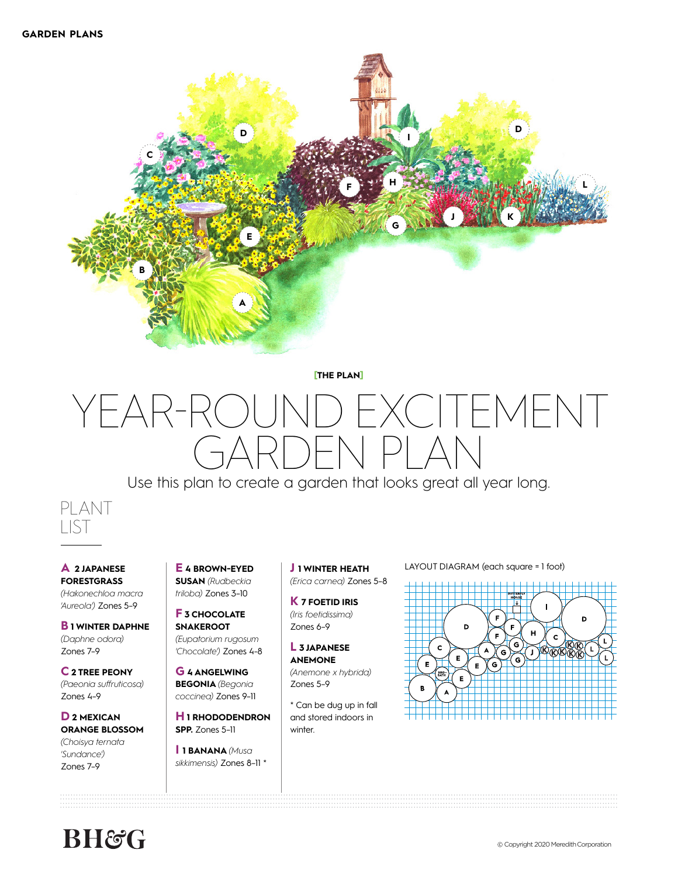

**[THE PLAN]**

# YEAR-ROUND EXCITEMENT ) $|\bigtriangleup|$

Use this plan to create a garden that looks great all year long.



**A 2 JAPANESE FORESTGRASS**  *(Hakonechloa macra 'Aureola')* Zones 5–9

**B 1 WINTER DAPHNE**  *(Daphne odora)*  Zones 7–9

**C 2 TREE PEONY**  *(Paeonia suffruticosa)* Zones 4–9

**D 2 MEXICAN ORANGE BLOSSOM**  *(Choisya ternata 'Sundance')* Zones 7–9

**E 4 BROWN-EYED SUSAN** *(Rudbeckia triloba)* Zones 3–10

**F 3 CHOCOLATE SNAKEROOT**  *(Eupatorium rugosum 'Chocolate')* Zones 4-8

**G 4 ANGELWING BEGONIA** *(Begonia coccinea)* Zones 9–11

**H 1 RHODODENDRON SPP.** Zones 5–11

**I 1 BANANA** *(Musa sikkimensis)* Zones 8–11 \* **J 1 WINTER HEATH** *(Erica carnea)* Zones 5–8

**K 7 FOETID IRIS**  *(Iris foetidissima)*  Zones 6–9

**L 3 JAPANESE ANEMONE**  *(Anemone x hybrida)*  Zones 5–9

\* Can be dug up in fall and stored indoors in

winter.

LAYOUT DIAGRAM (each square = 1 foot)



# **BH&C**